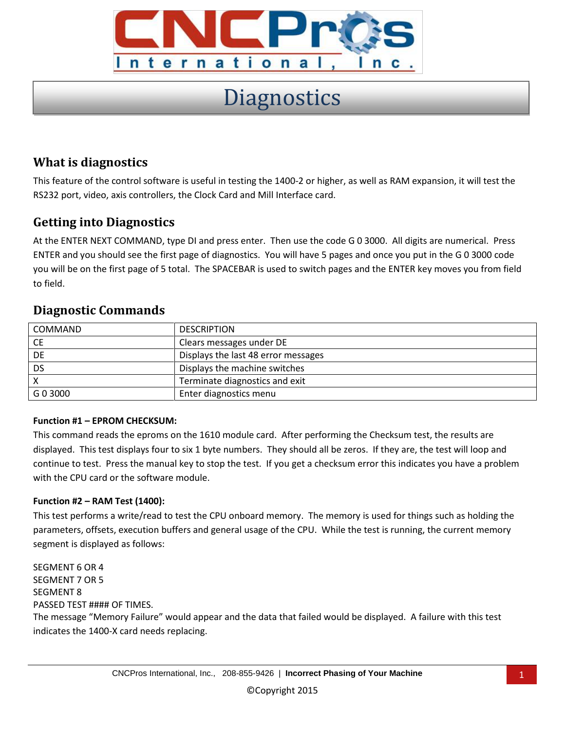

# **Diagnostics**

# **What is diagnostics**

This feature of the control software is useful in testing the 1400-2 or higher, as well as RAM expansion, it will test the RS232 port, video, axis controllers, the Clock Card and Mill Interface card.

# **Getting into Diagnostics**

At the ENTER NEXT COMMAND, type DI and press enter. Then use the code G 0 3000. All digits are numerical. Press ENTER and you should see the first page of diagnostics. You will have 5 pages and once you put in the G 0 3000 code you will be on the first page of 5 total. The SPACEBAR is used to switch pages and the ENTER key moves you from field to field.

# **Diagnostic Commands**

| COMMAND   | <b>DESCRIPTION</b>                  |
|-----------|-------------------------------------|
| <b>CE</b> | Clears messages under DE            |
| DE        | Displays the last 48 error messages |
| <b>DS</b> | Displays the machine switches       |
|           | Terminate diagnostics and exit      |
| G 0 3000  | Enter diagnostics menu              |

## **Function #1 – EPROM CHECKSUM:**

This command reads the eproms on the 1610 module card. After performing the Checksum test, the results are displayed. This test displays four to six 1 byte numbers. They should all be zeros. If they are, the test will loop and continue to test. Press the manual key to stop the test. If you get a checksum error this indicates you have a problem with the CPU card or the software module.

## **Function #2 – RAM Test (1400):**

This test performs a write/read to test the CPU onboard memory. The memory is used for things such as holding the parameters, offsets, execution buffers and general usage of the CPU. While the test is running, the current memory segment is displayed as follows:

SEGMENT 6 OR 4 SEGMENT 7 OR 5 SEGMENT 8 PASSED TEST #### OF TIMES. The message "Memory Failure" would appear and the data that failed would be displayed. A failure with this test indicates the 1400-X card needs replacing.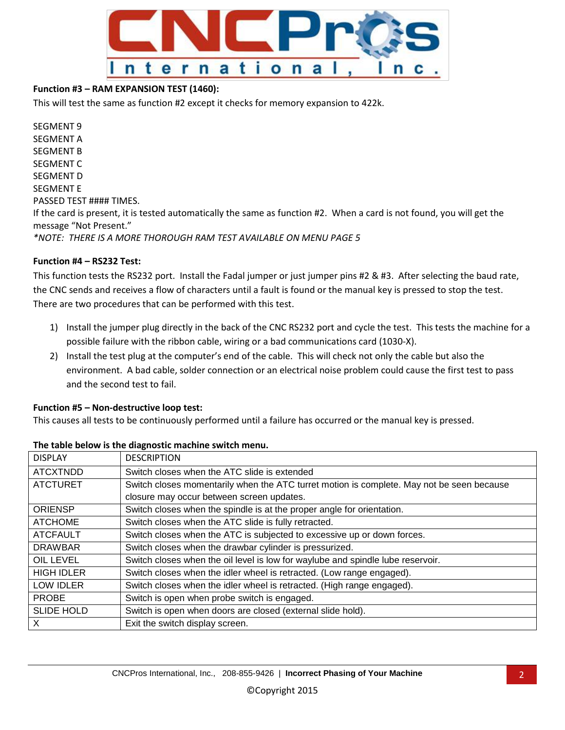

## **Function #3 – RAM EXPANSION TEST (1460):**

This will test the same as function #2 except it checks for memory expansion to 422k.

SEGMENT 9 SEGMENT A SEGMENT B SEGMENT C SEGMENT D SEGMENT E PASSED TEST #### TIMES. If the card is present, it is tested automatically the same as function #2. When a card is not found, you will get the message "Not Present." *\*NOTE: THERE IS A MORE THOROUGH RAM TEST AVAILABLE ON MENU PAGE 5*

#### **Function #4 – RS232 Test:**

This function tests the RS232 port. Install the Fadal jumper or just jumper pins #2 & #3. After selecting the baud rate, the CNC sends and receives a flow of characters until a fault is found or the manual key is pressed to stop the test. There are two procedures that can be performed with this test.

- 1) Install the jumper plug directly in the back of the CNC RS232 port and cycle the test. This tests the machine for a possible failure with the ribbon cable, wiring or a bad communications card (1030-X).
- 2) Install the test plug at the computer's end of the cable. This will check not only the cable but also the environment. A bad cable, solder connection or an electrical noise problem could cause the first test to pass and the second test to fail.

#### **Function #5 – Non-destructive loop test:**

This causes all tests to be continuously performed until a failure has occurred or the manual key is pressed.

| <b>DISPLAY</b>    | <b>DESCRIPTION</b>                                                                        |
|-------------------|-------------------------------------------------------------------------------------------|
| <b>ATCXTNDD</b>   | Switch closes when the ATC slide is extended                                              |
| <b>ATCTURET</b>   | Switch closes momentarily when the ATC turret motion is complete. May not be seen because |
|                   | closure may occur between screen updates.                                                 |
| <b>ORIENSP</b>    | Switch closes when the spindle is at the proper angle for orientation.                    |
| <b>ATCHOME</b>    | Switch closes when the ATC slide is fully retracted.                                      |
| <b>ATCFAULT</b>   | Switch closes when the ATC is subjected to excessive up or down forces.                   |
| <b>DRAWBAR</b>    | Switch closes when the drawbar cylinder is pressurized.                                   |
| <b>OIL LEVEL</b>  | Switch closes when the oil level is low for waylube and spindle lube reservoir.           |
| <b>HIGH IDLER</b> | Switch closes when the idler wheel is retracted. (Low range engaged).                     |
| <b>LOW IDLER</b>  | Switch closes when the idler wheel is retracted. (High range engaged).                    |
| <b>PROBE</b>      | Switch is open when probe switch is engaged.                                              |
| <b>SLIDE HOLD</b> | Switch is open when doors are closed (external slide hold).                               |
| X                 | Exit the switch display screen.                                                           |

#### **The table below is the diagnostic machine switch menu.**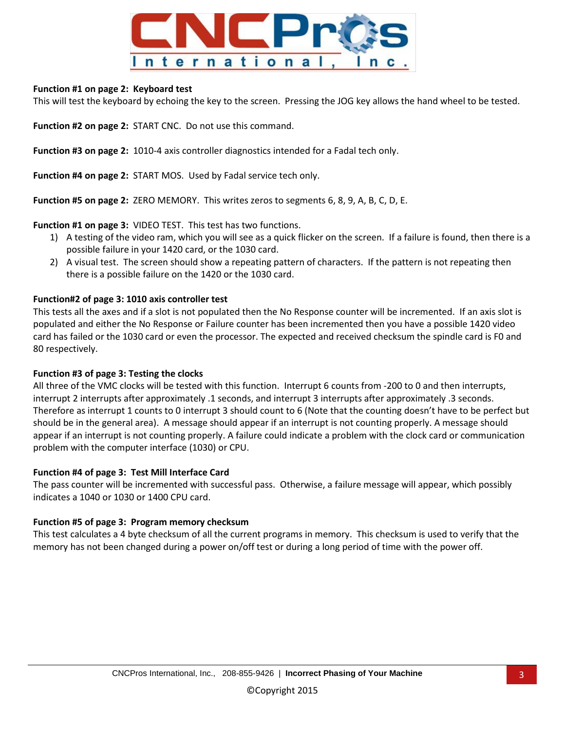

#### **Function #1 on page 2: Keyboard test**

This will test the keyboard by echoing the key to the screen. Pressing the JOG key allows the hand wheel to be tested.

**Function #2 on page 2:** START CNC. Do not use this command.

**Function #3 on page 2:** 1010-4 axis controller diagnostics intended for a Fadal tech only.

**Function #4 on page 2:** START MOS. Used by Fadal service tech only.

**Function #5 on page 2:** ZERO MEMORY. This writes zeros to segments 6, 8, 9, A, B, C, D, E.

**Function #1 on page 3:** VIDEO TEST. This test has two functions.

- 1) A testing of the video ram, which you will see as a quick flicker on the screen. If a failure is found, then there is a possible failure in your 1420 card, or the 1030 card.
- 2) A visual test. The screen should show a repeating pattern of characters. If the pattern is not repeating then there is a possible failure on the 1420 or the 1030 card.

#### **Function#2 of page 3: 1010 axis controller test**

This tests all the axes and if a slot is not populated then the No Response counter will be incremented. If an axis slot is populated and either the No Response or Failure counter has been incremented then you have a possible 1420 video card has failed or the 1030 card or even the processor. The expected and received checksum the spindle card is F0 and 80 respectively.

#### **Function #3 of page 3: Testing the clocks**

All three of the VMC clocks will be tested with this function. Interrupt 6 counts from -200 to 0 and then interrupts, interrupt 2 interrupts after approximately .1 seconds, and interrupt 3 interrupts after approximately .3 seconds. Therefore as interrupt 1 counts to 0 interrupt 3 should count to 6 (Note that the counting doesn't have to be perfect but should be in the general area). A message should appear if an interrupt is not counting properly. A message should appear if an interrupt is not counting properly. A failure could indicate a problem with the clock card or communication problem with the computer interface (1030) or CPU.

#### **Function #4 of page 3: Test Mill Interface Card**

The pass counter will be incremented with successful pass. Otherwise, a failure message will appear, which possibly indicates a 1040 or 1030 or 1400 CPU card.

## **Function #5 of page 3: Program memory checksum**

This test calculates a 4 byte checksum of all the current programs in memory. This checksum is used to verify that the memory has not been changed during a power on/off test or during a long period of time with the power off.